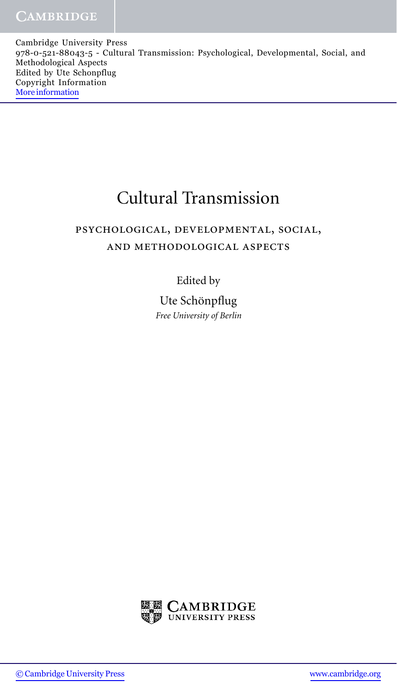Cambridge University Press 978-0-521-88043-5 - Cultural Transmission: Psychological, Developmental, Social, and Methodological Aspects Edited by Ute Schonpflug Copyright Information [More information](http://www.cambridge.org/9780521880435)

## Cultural Transmission

## psychological, developmental, social, and methodological aspects

## Edited by

Ute Schönpflug *Free University of Berlin*